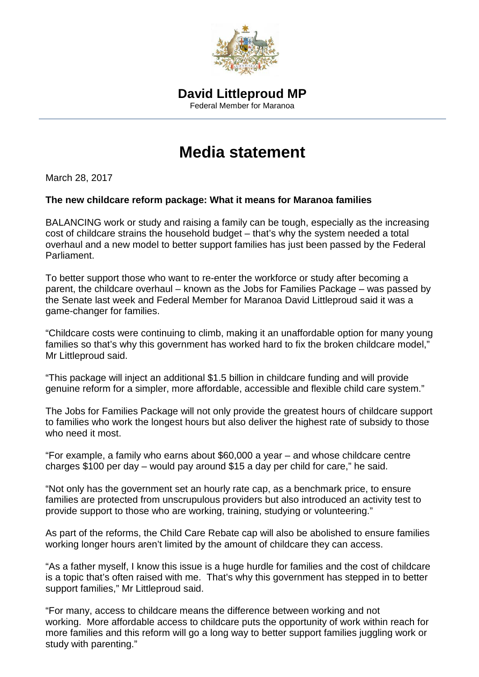

## **Media statement**

March 28, 2017

## **The new childcare reform package: What it means for Maranoa families**

BALANCING work or study and raising a family can be tough, especially as the increasing cost of childcare strains the household budget – that's why the system needed a total overhaul and a new model to better support families has just been passed by the Federal Parliament.

To better support those who want to re-enter the workforce or study after becoming a parent, the childcare overhaul – known as the Jobs for Families Package – was passed by the Senate last week and Federal Member for Maranoa David Littleproud said it was a game-changer for families.

"Childcare costs were continuing to climb, making it an unaffordable option for many young families so that's why this government has worked hard to fix the broken childcare model," Mr Littleproud said.

"This package will inject an additional \$1.5 billion in childcare funding and will provide genuine reform for a simpler, more affordable, accessible and flexible child care system."

The Jobs for Families Package will not only provide the greatest hours of childcare support to families who work the longest hours but also deliver the highest rate of subsidy to those who need it most.

"For example, a family who earns about \$60,000 a year – and whose childcare centre charges \$100 per day – would pay around \$15 a day per child for care," he said.

"Not only has the government set an hourly rate cap, as a benchmark price, to ensure families are protected from unscrupulous providers but also introduced an activity test to provide support to those who are working, training, studying or volunteering."

As part of the reforms, the Child Care Rebate cap will also be abolished to ensure families working longer hours aren't limited by the amount of childcare they can access.

"As a father myself, I know this issue is a huge hurdle for families and the cost of childcare is a topic that's often raised with me. That's why this government has stepped in to better support families," Mr Littleproud said.

"For many, access to childcare means the difference between working and not working. More affordable access to childcare puts the opportunity of work within reach for more families and this reform will go a long way to better support families juggling work or study with parenting."